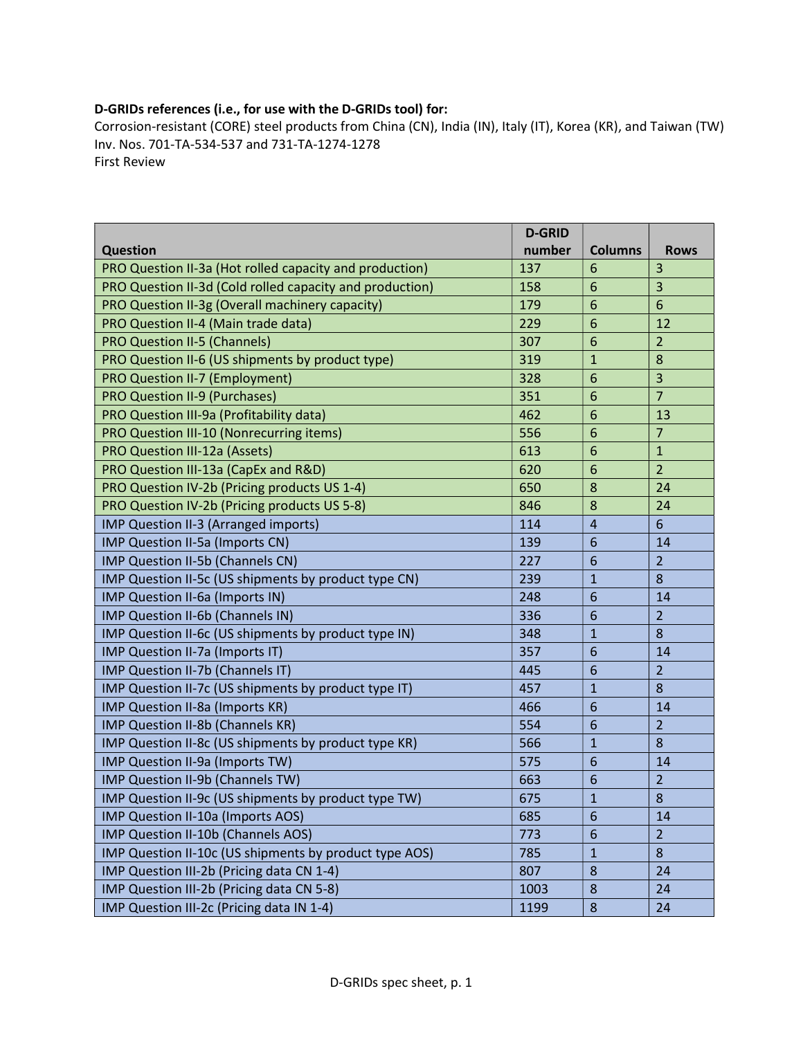## D-GRIDs references (i.e., for use with the D-GRIDs tool) for:

Corrosion-resistant (CORE) steel products from China (CN), India (IN), Italy (IT), Korea (KR), and Taiwan (TW) Inv. Nos. 701-TA-534-537 and 731-TA-1274-1278 First Review

|                                                          | <b>D-GRID</b> |                 |                         |
|----------------------------------------------------------|---------------|-----------------|-------------------------|
| <b>Question</b>                                          | number        | <b>Columns</b>  | <b>Rows</b>             |
| PRO Question II-3a (Hot rolled capacity and production)  | 137           | 6               | $\overline{3}$          |
| PRO Question II-3d (Cold rolled capacity and production) | 158           | 6               | 3                       |
| PRO Question II-3g (Overall machinery capacity)          | 179           | 6               | $6\phantom{1}6$         |
| PRO Question II-4 (Main trade data)                      | 229           | 6               | 12                      |
| <b>PRO Question II-5 (Channels)</b>                      | 307           | 6               | $\overline{2}$          |
| PRO Question II-6 (US shipments by product type)         | 319           | $\mathbf{1}$    | 8                       |
| PRO Question II-7 (Employment)                           | 328           | 6               | $\overline{\mathbf{3}}$ |
| <b>PRO Question II-9 (Purchases)</b>                     | 351           | 6               | $\overline{7}$          |
| PRO Question III-9a (Profitability data)                 | 462           | 6               | 13                      |
| PRO Question III-10 (Nonrecurring items)                 | 556           | 6               | $\overline{7}$          |
| PRO Question III-12a (Assets)                            | 613           | 6               | $\mathbf{1}$            |
| PRO Question III-13a (CapEx and R&D)                     | 620           | 6               | $\overline{2}$          |
| PRO Question IV-2b (Pricing products US 1-4)             | 650           | 8               | 24                      |
| PRO Question IV-2b (Pricing products US 5-8)             | 846           | 8               | 24                      |
| IMP Question II-3 (Arranged imports)                     | 114           | $\overline{4}$  | $6\phantom{1}6$         |
| IMP Question II-5a (Imports CN)                          | 139           | $6\phantom{1}6$ | 14                      |
| IMP Question II-5b (Channels CN)                         | 227           | $6\phantom{1}6$ | $\overline{2}$          |
| IMP Question II-5c (US shipments by product type CN)     | 239           | $\mathbf{1}$    | 8                       |
| IMP Question II-6a (Imports IN)                          | 248           | $6\phantom{1}6$ | 14                      |
| IMP Question II-6b (Channels IN)                         | 336           | $6\phantom{1}6$ | $\overline{2}$          |
| IMP Question II-6c (US shipments by product type IN)     | 348           | $\mathbf{1}$    | 8                       |
| IMP Question II-7a (Imports IT)                          | 357           | $6\phantom{1}6$ | 14                      |
| <b>IMP Question II-7b (Channels IT)</b>                  | 445           | $6\phantom{1}6$ | $\overline{2}$          |
| IMP Question II-7c (US shipments by product type IT)     | 457           | $\mathbf{1}$    | 8                       |
| IMP Question II-8a (Imports KR)                          | 466           | $6\phantom{1}6$ | 14                      |
| IMP Question II-8b (Channels KR)                         | 554           | $6\phantom{1}6$ | $\overline{2}$          |
| IMP Question II-8c (US shipments by product type KR)     | 566           | $\mathbf{1}$    | 8                       |
| IMP Question II-9a (Imports TW)                          | 575           | $6\phantom{1}6$ | 14                      |
| IMP Question II-9b (Channels TW)                         | 663           | $6\phantom{1}6$ | $\overline{2}$          |
| IMP Question II-9c (US shipments by product type TW)     | 675           | $\mathbf{1}$    | 8                       |
| IMP Question II-10a (Imports AOS)                        | 685           | 6               | 14                      |
| IMP Question II-10b (Channels AOS)                       | 773           | 6               | $\overline{2}$          |
| IMP Question II-10c (US shipments by product type AOS)   | 785           | $\mathbf{1}$    | 8                       |
| IMP Question III-2b (Pricing data CN 1-4)                | 807           | 8               | 24                      |
| IMP Question III-2b (Pricing data CN 5-8)                | 1003          | $\bf 8$         | 24                      |
| IMP Question III-2c (Pricing data IN 1-4)                | 1199          | $\bf 8$         | 24                      |